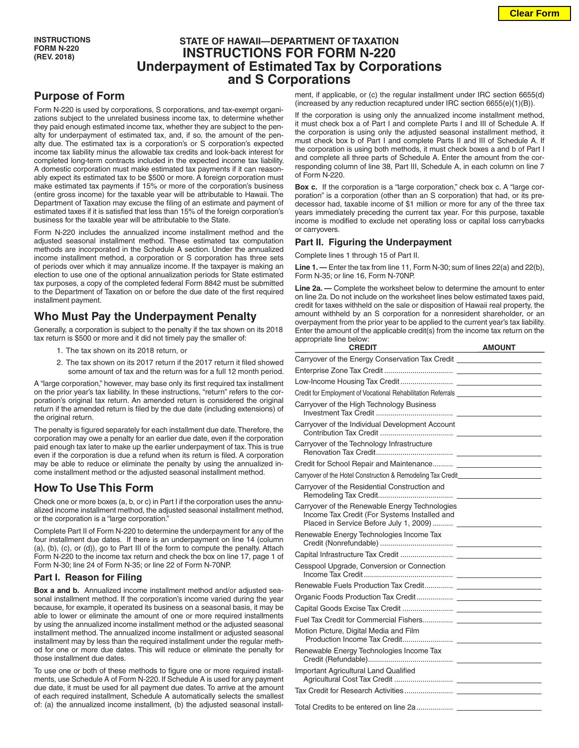## **STATE OF HAWAII—DEPARTMENT OF TAXATION INSTRUCTIONS FOR FORM N-220 Underpayment of Estimated Tax by Corporations and S Corporations**

# **Purpose of Form**

Form N-220 is used by corporations, S corporations, and tax-exempt organizations subject to the unrelated business income tax, to determine whether they paid enough estimated income tax, whether they are subject to the penalty for underpayment of estimated tax, and, if so, the amount of the penalty due. The estimated tax is a corporation's or S corporation's expected income tax liability minus the allowable tax credits and look-back interest for completed long-term contracts included in the expected income tax liability. A domestic corporation must make estimated tax payments if it can reasonably expect its estimated tax to be \$500 or more. A foreign corporation must make estimated tax payments if 15% or more of the corporation's business (entire gross income) for the taxable year will be attributable to Hawaii. The Department of Taxation may excuse the filing of an estimate and payment of estimated taxes if it is satisfied that less than 15% of the foreign corporation's business for the taxable year will be attributable to the State.

Form N-220 includes the annualized income installment method and the adjusted seasonal installment method. These estimated tax computation methods are incorporated in the Schedule A section. Under the annualized income installment method, a corporation or S corporation has three sets of periods over which it may annualize income. If the taxpayer is making an election to use one of the optional annualization periods for State estimated tax purposes, a copy of the completed federal Form 8842 must be submitted to the Department of Taxation on or before the due date of the first required installment payment.

## **Who Must Pay the Underpayment Penalty**

Generally, a corporation is subject to the penalty if the tax shown on its 2018 tax return is \$500 or more and it did not timely pay the smaller of:

- 1. The tax shown on its 2018 return, or
- 2. The tax shown on its 2017 return if the 2017 return it filed showed some amount of tax and the return was for a full 12 month period.

A "large corporation," however, may base only its first required tax installment on the prior year's tax liability. In these instructions, "return" refers to the corporation's original tax return. An amended return is considered the original return if the amended return is filed by the due date (including extensions) of the original return.

The penalty is figured separately for each installment due date. Therefore, the corporation may owe a penalty for an earlier due date, even if the corporation paid enough tax later to make up the earlier underpayment of tax. This is true even if the corporation is due a refund when its return is filed. A corporation may be able to reduce or eliminate the penalty by using the annualized income installment method or the adjusted seasonal installment method.

## **How To Use This Form**

Check one or more boxes (a, b, or c) in Part I if the corporation uses the annualized income installment method, the adjusted seasonal installment method, or the corporation is a "large corporation."

Complete Part II of Form N-220 to determine the underpayment for any of the four installment due dates. If there is an underpayment on line 14 (column (a), (b), (c), or (d)), go to Part III of the form to compute the penalty. Attach Form N-220 to the income tax return and check the box on line 17, page 1 of Form N-30; line 24 of Form N-35; or line 22 of Form N-70NP.

### **Part I. Reason for Filing**

**Box a and b.** Annualized income installment method and/or adjusted seasonal installment method. If the corporation's income varied during the year because, for example, it operated its business on a seasonal basis, it may be able to lower or eliminate the amount of one or more required installments by using the annualized income installment method or the adjusted seasonal installment method. The annualized income installment or adjusted seasonal installment may by less than the required installment under the regular method for one or more due dates. This will reduce or eliminate the penalty for those installment due dates.

To use one or both of these methods to figure one or more required installments, use Schedule A of Form N-220. If Schedule A is used for any payment due date, it must be used for all payment due dates. To arrive at the amount of each required installment, Schedule A automatically selects the smallest of: (a) the annualized income installment, (b) the adjusted seasonal installment, if applicable, or (c) the regular installment under IRC section 6655(d) (increased by any reduction recaptured under IRC section 6655(e)(1)(B)).

If the corporation is using only the annualized income installment method, it must check box a of Part I and complete Parts I and III of Schedule A. If the corporation is using only the adjusted seasonal installment method, it must check box b of Part I and complete Parts II and III of Schedule A. If the corporation is using both methods, it must check boxes a and b of Part I and complete all three parts of Schedule A. Enter the amount from the corresponding column of line 38, Part III, Schedule A, in each column on line 7 of Form N-220.

**Box c.** If the corporation is a "large corporation," check box c. A "large corporation" is a corporation (other than an S corporation) that had, or its predecessor had, taxable income of \$1 million or more for any of the three tax years immediately preceding the current tax year. For this purpose, taxable income is modified to exclude net operating loss or capital loss carrybacks or carryovers.

### **Part II. Figuring the Underpayment**

Complete lines 1 through 15 of Part II.

**Line 1. —** Enter the tax from line 11, Form N-30; sum of lines 22(a) and 22(b), Form N-35; or line 16, Form N-70NP.

**Line 2a. —** Complete the worksheet below to determine the amount to enter on line 2a. Do not include on the worksheet lines below estimated taxes paid, credit for taxes withheld on the sale or disposition of Hawaii real property, the amount withheld by an S corporation for a nonresident shareholder, or an overpayment from the prior year to be applied to the current year's tax liability. Enter the amount of the applicable credit(s) from the income tax return on the appropriate line below:

| <b>CREDIT</b>                                                                                                                            | <b>AMOUNT</b> |
|------------------------------------------------------------------------------------------------------------------------------------------|---------------|
|                                                                                                                                          |               |
|                                                                                                                                          |               |
|                                                                                                                                          |               |
| Credit for Employment of Vocational Rehabilitation Referrals ___________________                                                         |               |
| Carryover of the High Technology Business                                                                                                |               |
| Carryover of the Individual Development Account                                                                                          |               |
| Carryover of the Technology Infrastructure                                                                                               |               |
|                                                                                                                                          |               |
| Carryover of the Hotel Construction & Remodeling Tax Credit_____________________                                                         |               |
| Carryover of the Residential Construction and                                                                                            |               |
| Carryover of the Renewable Energy Technologies<br>Income Tax Credit (For Systems Installed and<br>Placed in Service Before July 1, 2009) |               |
| Renewable Energy Technologies Income Tax                                                                                                 |               |
|                                                                                                                                          |               |
| Cesspool Upgrade, Conversion or Connection                                                                                               |               |
|                                                                                                                                          |               |
|                                                                                                                                          |               |
|                                                                                                                                          |               |
|                                                                                                                                          |               |
| Motion Picture, Digital Media and Film                                                                                                   |               |
| Renewable Energy Technologies Income Tax                                                                                                 |               |
| Important Agricultural Land Qualified                                                                                                    |               |
|                                                                                                                                          |               |
|                                                                                                                                          |               |